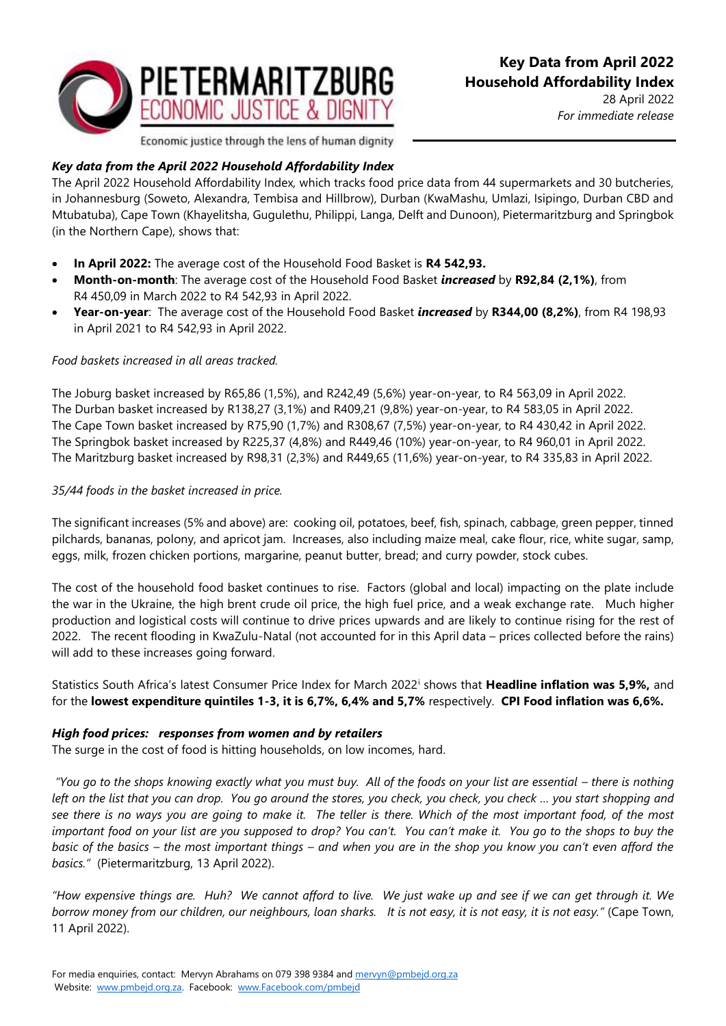

28 April 2022 *For immediate release*

Economic justice through the lens of human dignity

# *Key data from the April 2022 Household Affordability Index*

The April 2022 Household Affordability Index*,* which tracks food price data from 44 supermarkets and 30 butcheries, in Johannesburg (Soweto, Alexandra, Tembisa and Hillbrow), Durban (KwaMashu, Umlazi, Isipingo, Durban CBD and Mtubatuba), Cape Town (Khayelitsha, Gugulethu, Philippi, Langa, Delft and Dunoon), Pietermaritzburg and Springbok (in the Northern Cape), shows that:

- **In April 2022:** The average cost of the Household Food Basket is **R4 542,93.**
- **Month-on-month**: The average cost of the Household Food Basket *increased* by **R92,84 (2,1%)**, from R4 450,09 in March 2022 to R4 542,93 in April 2022.
- **Year-on-year**: The average cost of the Household Food Basket *increased* by **R344,00 (8,2%)**, from R4 198,93 in April 2021 to R4 542,93 in April 2022.

## *Food baskets increased in all areas tracked.*

The Joburg basket increased by R65,86 (1,5%), and R242,49 (5,6%) year-on-year, to R4 563,09 in April 2022. The Durban basket increased by R138,27 (3,1%) and R409,21 (9,8%) year-on-year, to R4 583,05 in April 2022. The Cape Town basket increased by R75,90 (1,7%) and R308,67 (7,5%) year-on-year, to R4 430,42 in April 2022. The Springbok basket increased by R225,37 (4,8%) and R449,46 (10%) year-on-year, to R4 960,01 in April 2022. The Maritzburg basket increased by R98,31 (2,3%) and R449,65 (11,6%) year-on-year, to R4 335,83 in April 2022.

## *35/44 foods in the basket increased in price.*

The significant increases (5% and above) are: cooking oil, potatoes, beef, fish, spinach, cabbage, green pepper, tinned pilchards, bananas, polony, and apricot jam. Increases, also including maize meal, cake flour, rice, white sugar, samp, eggs, milk, frozen chicken portions, margarine, peanut butter, bread; and curry powder, stock cubes.

The cost of the household food basket continues to rise. Factors (global and local) impacting on the plate include the war in the Ukraine, the high brent crude oil price, the high fuel price, and a weak exchange rate. Much higher production and logistical costs will continue to drive prices upwards and are likely to continue rising for the rest of 2022. The recent flooding in KwaZulu-Natal (not accounted for in this April data – prices collected before the rains) will add to these increases going forward.

Statistics South Africa's latest Consumer Price Index for March 2022<sup>i</sup> shows that **Headline inflation was 5,9%,** and for the **lowest expenditure quintiles 1-3, it is 6,7%, 6,4% and 5,7%** respectively. **CPI Food inflation was 6,6%.**

## *High food prices: responses from women and by retailers*

The surge in the cost of food is hitting households, on low incomes, hard.

*"You go to the shops knowing exactly what you must buy. All of the foods on your list are essential – there is nothing left on the list that you can drop. You go around the stores, you check, you check, you check … you start shopping and see there is no ways you are going to make it. The teller is there. Which of the most important food, of the most important food on your list are you supposed to drop? You can't. You can't make it. You go to the shops to buy the basic of the basics – the most important things – and when you are in the shop you know you can't even afford the basics."* (Pietermaritzburg, 13 April 2022).

*"How expensive things are. Huh? We cannot afford to live. We just wake up and see if we can get through it. We borrow money from our children, our neighbours, loan sharks. It is not easy, it is not easy, it is not easy."* (Cape Town, 11 April 2022).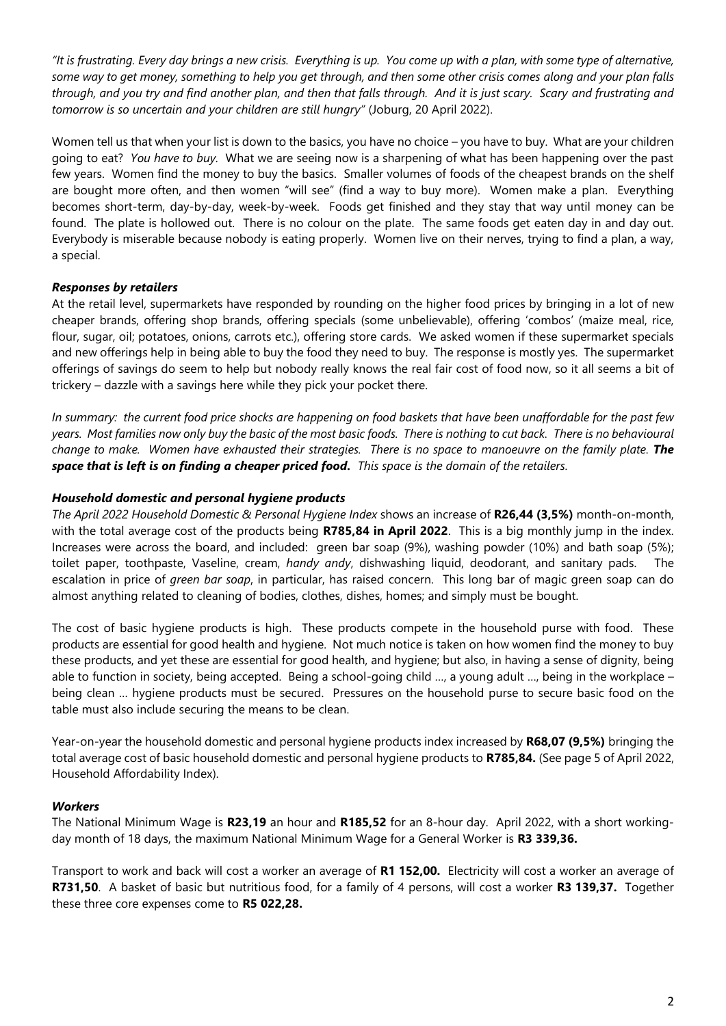*"It is frustrating. Every day brings a new crisis. Everything is up. You come up with a plan, with some type of alternative, some way to get money, something to help you get through, and then some other crisis comes along and your plan falls through, and you try and find another plan, and then that falls through. And it is just scary. Scary and frustrating and tomorrow is so uncertain and your children are still hungry"* (Joburg, 20 April 2022).

Women tell us that when your list is down to the basics, you have no choice – you have to buy. What are your children going to eat? *You have to buy.* What we are seeing now is a sharpening of what has been happening over the past few years. Women find the money to buy the basics. Smaller volumes of foods of the cheapest brands on the shelf are bought more often, and then women "will see" (find a way to buy more). Women make a plan. Everything becomes short-term, day-by-day, week-by-week. Foods get finished and they stay that way until money can be found. The plate is hollowed out. There is no colour on the plate. The same foods get eaten day in and day out. Everybody is miserable because nobody is eating properly. Women live on their nerves, trying to find a plan, a way, a special.

## *Responses by retailers*

At the retail level, supermarkets have responded by rounding on the higher food prices by bringing in a lot of new cheaper brands, offering shop brands, offering specials (some unbelievable), offering 'combos' (maize meal, rice, flour, sugar, oil; potatoes, onions, carrots etc.), offering store cards. We asked women if these supermarket specials and new offerings help in being able to buy the food they need to buy. The response is mostly yes. The supermarket offerings of savings do seem to help but nobody really knows the real fair cost of food now, so it all seems a bit of trickery – dazzle with a savings here while they pick your pocket there.

*In summary: the current food price shocks are happening on food baskets that have been unaffordable for the past few years. Most families now only buy the basic of the most basic foods. There is nothing to cut back. There is no behavioural change to make. Women have exhausted their strategies. There is no space to manoeuvre on the family plate. The space that is left is on finding a cheaper priced food. This space is the domain of the retailers.*

#### *Household domestic and personal hygiene products*

*The April 2022 Household Domestic & Personal Hygiene Index* shows an increase of **R26,44 (3,5%)** month-on-month, with the total average cost of the products being **R785,84 in April 2022**. This is a big monthly jump in the index. Increases were across the board, and included: green bar soap (9%), washing powder (10%) and bath soap (5%); toilet paper, toothpaste, Vaseline, cream, *handy andy*, dishwashing liquid, deodorant, and sanitary pads. The escalation in price of *green bar soap*, in particular, has raised concern. This long bar of magic green soap can do almost anything related to cleaning of bodies, clothes, dishes, homes; and simply must be bought.

The cost of basic hygiene products is high. These products compete in the household purse with food. These products are essential for good health and hygiene. Not much notice is taken on how women find the money to buy these products, and yet these are essential for good health, and hygiene; but also, in having a sense of dignity, being able to function in society, being accepted. Being a school-going child ..., a young adult ..., being in the workplace – being clean … hygiene products must be secured. Pressures on the household purse to secure basic food on the table must also include securing the means to be clean.

Year-on-year the household domestic and personal hygiene products index increased by **R68,07 (9,5%)** bringing the total average cost of basic household domestic and personal hygiene products to **R785,84.** (See page 5 of April 2022, Household Affordability Index).

#### *Workers*

The National Minimum Wage is **R23,19** an hour and **R185,52** for an 8-hour day. April 2022, with a short workingday month of 18 days, the maximum National Minimum Wage for a General Worker is **R3 339,36.**

Transport to work and back will cost a worker an average of **R1 152,00.** Electricity will cost a worker an average of **R731,50**. A basket of basic but nutritious food, for a family of 4 persons, will cost a worker **R3 139,37.** Together these three core expenses come to **R5 022,28.**